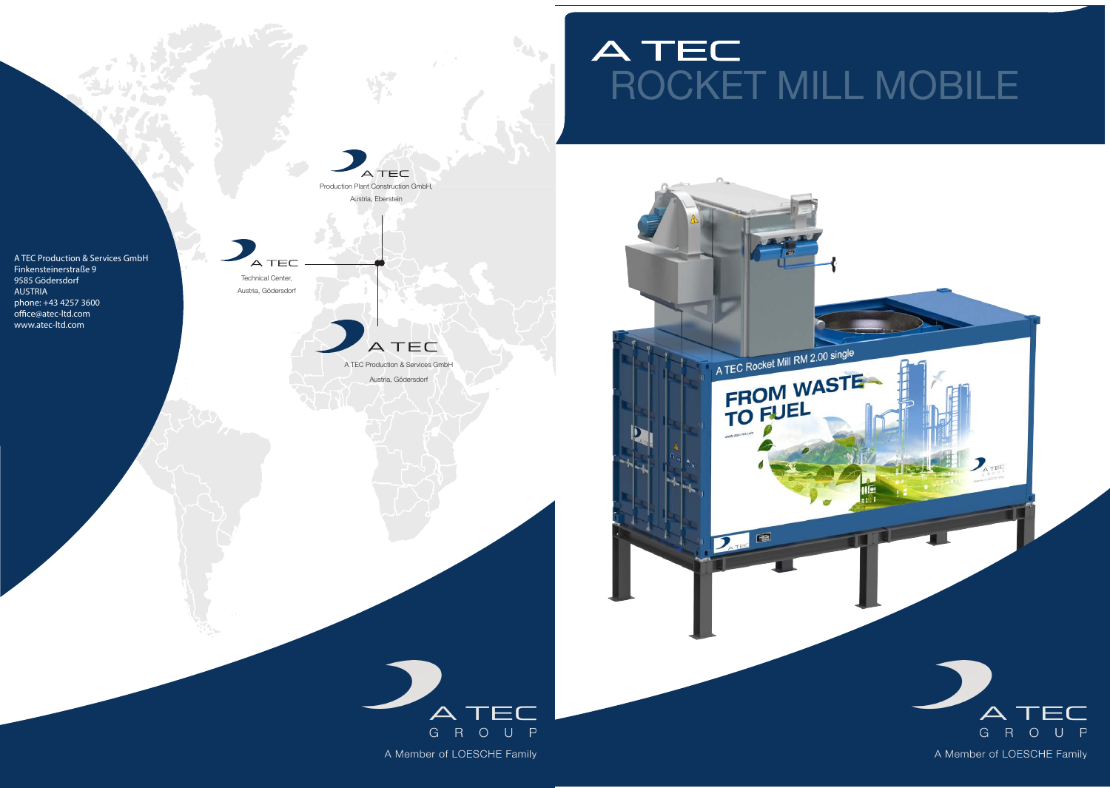# ATEC<br>ROCKET MILL MOBILE



**Cap.**